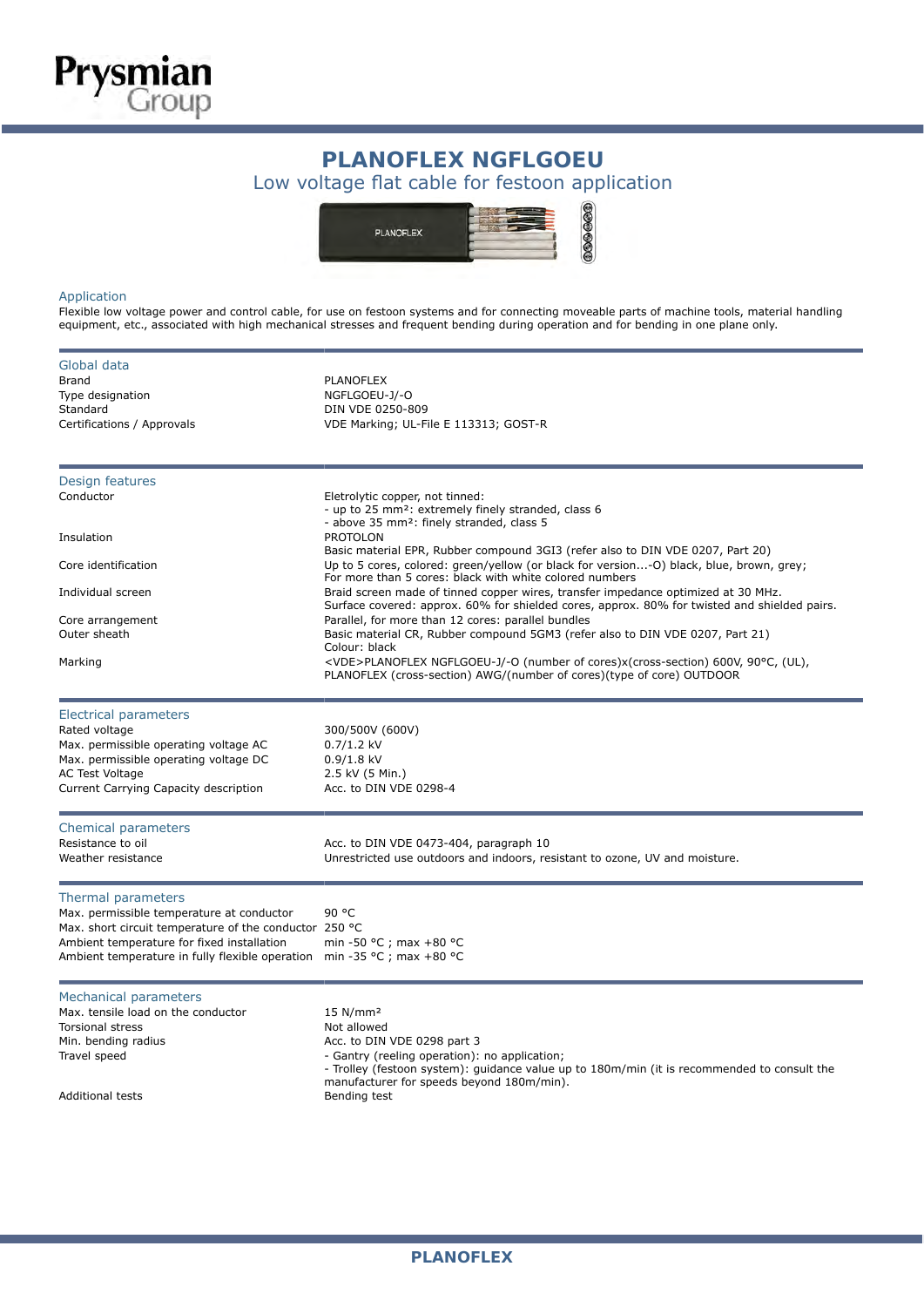

## PLANOFLEX NGFLGOEU:<br>Low voltage flat cable for festoon application **PLANOFLEX NGFLGOEU**



## Application

Flexible low voltage power and control cable, for use on festoon systems and for connecting moveable parts of machine tools, material handling equipment, etc., associated with high mechanical stresses and frequent bending during operation and for bending in one plane only.

| Global data                                                            |                                                                                                                                                                                   |  |  |  |  |  |  |  |  |
|------------------------------------------------------------------------|-----------------------------------------------------------------------------------------------------------------------------------------------------------------------------------|--|--|--|--|--|--|--|--|
| Brand                                                                  | <b>PLANOFLEX</b>                                                                                                                                                                  |  |  |  |  |  |  |  |  |
| Type designation                                                       | NGFLGOEU-J/-O                                                                                                                                                                     |  |  |  |  |  |  |  |  |
| Standard                                                               | DIN VDE 0250-809                                                                                                                                                                  |  |  |  |  |  |  |  |  |
| Certifications / Approvals                                             | VDE Marking; UL-File E 113313; GOST-R                                                                                                                                             |  |  |  |  |  |  |  |  |
|                                                                        |                                                                                                                                                                                   |  |  |  |  |  |  |  |  |
| Design features                                                        |                                                                                                                                                                                   |  |  |  |  |  |  |  |  |
| Conductor                                                              | Eletrolytic copper, not tinned:<br>- up to 25 mm <sup>2</sup> : extremely finely stranded, class 6<br>- above 35 mm <sup>2</sup> : finely stranded, class 5                       |  |  |  |  |  |  |  |  |
| Insulation                                                             | <b>PROTOLON</b><br>Basic material EPR, Rubber compound 3GI3 (refer also to DIN VDE 0207, Part 20)                                                                                 |  |  |  |  |  |  |  |  |
| Core identification                                                    | Up to 5 cores, colored: green/yellow (or black for version-O) black, blue, brown, grey;<br>For more than 5 cores: black with white colored numbers                                |  |  |  |  |  |  |  |  |
| Individual screen                                                      | Braid screen made of tinned copper wires, transfer impedance optimized at 30 MHz.<br>Surface covered: approx. 60% for shielded cores, approx. 80% for twisted and shielded pairs. |  |  |  |  |  |  |  |  |
| Core arrangement                                                       | Parallel, for more than 12 cores: parallel bundles                                                                                                                                |  |  |  |  |  |  |  |  |
| Outer sheath                                                           | Basic material CR, Rubber compound 5GM3 (refer also to DIN VDE 0207, Part 21)<br>Colour: black                                                                                    |  |  |  |  |  |  |  |  |
| Marking                                                                | <vde>PLANOFLEX NGFLGOEU-J/-O (number of cores)x(cross-section) 600V, 90°C, (UL),<br/>PLANOFLEX (cross-section) AWG/(number of cores)(type of core) OUTDOOR</vde>                  |  |  |  |  |  |  |  |  |
| Electrical parameters                                                  |                                                                                                                                                                                   |  |  |  |  |  |  |  |  |
| Rated voltage                                                          | 300/500V (600V)                                                                                                                                                                   |  |  |  |  |  |  |  |  |
| Max. permissible operating voltage AC                                  | $0.7/1.2$ kV                                                                                                                                                                      |  |  |  |  |  |  |  |  |
| Max. permissible operating voltage DC                                  | $0.9/1.8$ kV                                                                                                                                                                      |  |  |  |  |  |  |  |  |
| <b>AC Test Voltage</b>                                                 | 2.5 kV (5 Min.)                                                                                                                                                                   |  |  |  |  |  |  |  |  |
| Current Carrying Capacity description                                  | Acc. to DIN VDE 0298-4                                                                                                                                                            |  |  |  |  |  |  |  |  |
| Chemical parameters                                                    |                                                                                                                                                                                   |  |  |  |  |  |  |  |  |
| Resistance to oil                                                      | Acc. to DIN VDE 0473-404, paragraph 10                                                                                                                                            |  |  |  |  |  |  |  |  |
| Weather resistance                                                     | Unrestricted use outdoors and indoors, resistant to ozone, UV and moisture.                                                                                                       |  |  |  |  |  |  |  |  |
| Thermal parameters                                                     |                                                                                                                                                                                   |  |  |  |  |  |  |  |  |
| Max. permissible temperature at conductor                              | 90 °C                                                                                                                                                                             |  |  |  |  |  |  |  |  |
| Max. short circuit temperature of the conductor 250 °C                 |                                                                                                                                                                                   |  |  |  |  |  |  |  |  |
| Ambient temperature for fixed installation                             | min -50 °C ; max +80 °C                                                                                                                                                           |  |  |  |  |  |  |  |  |
| Ambient temperature in fully flexible operation min -35 °C; max +80 °C |                                                                                                                                                                                   |  |  |  |  |  |  |  |  |
| Mechanical parameters                                                  |                                                                                                                                                                                   |  |  |  |  |  |  |  |  |
| Max. tensile load on the conductor                                     | 15 N/mm <sup>2</sup>                                                                                                                                                              |  |  |  |  |  |  |  |  |
| <b>Torsional stress</b>                                                | Not allowed                                                                                                                                                                       |  |  |  |  |  |  |  |  |
| Min. bending radius                                                    | Acc. to DIN VDE 0298 part 3                                                                                                                                                       |  |  |  |  |  |  |  |  |
| Travel speed                                                           | - Gantry (reeling operation): no application;<br>- Trolley (festoon system): quidance value up to 180m/min (it is recommended to consult the                                      |  |  |  |  |  |  |  |  |
|                                                                        | manufacturer for speeds beyond 180m/min).                                                                                                                                         |  |  |  |  |  |  |  |  |
| <b>Additional tests</b>                                                | Bending test                                                                                                                                                                      |  |  |  |  |  |  |  |  |
|                                                                        |                                                                                                                                                                                   |  |  |  |  |  |  |  |  |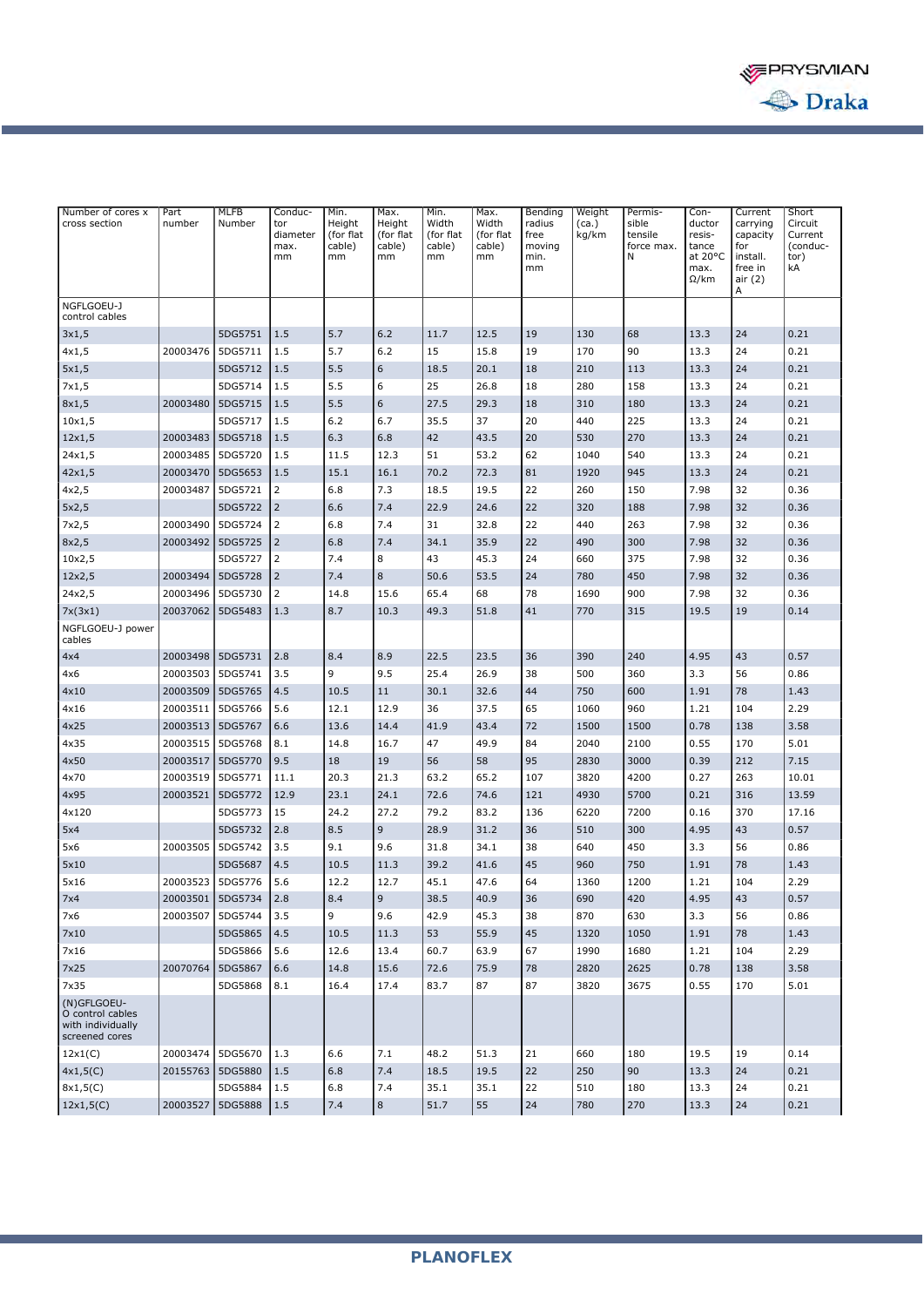

| Number of cores x<br>cross section                                     | Part<br>number | <b>MLFB</b><br>Number | Conduc-<br>tor<br>diameter<br>max.<br>mm | Min.<br>Height<br>(for flat<br>cable)<br>mm | Max.<br>Height<br>(for flat<br>cable)<br>mm | Min.<br>Width<br>(for flat<br>cable)<br>mm | Max.<br>Width<br>(for flat<br>cable)<br>mm | Bending<br>radius<br>free<br>moving<br>min.<br>mm | Weight<br>(ca.)<br>kg/km | Permis-<br>sible<br>tensile<br>force max.<br>N | Con-<br>ductor<br>resis-<br>tance<br>at 20°C<br>max.<br>$\Omega$ /km | Current<br>carrying<br>capacity<br>for<br>install.<br>free in<br>air (2)<br>A | Short<br>Circuit<br>Current<br>(conduc-<br>tor)<br>kA |
|------------------------------------------------------------------------|----------------|-----------------------|------------------------------------------|---------------------------------------------|---------------------------------------------|--------------------------------------------|--------------------------------------------|---------------------------------------------------|--------------------------|------------------------------------------------|----------------------------------------------------------------------|-------------------------------------------------------------------------------|-------------------------------------------------------|
| NGFLGOEU-J<br>control cables                                           |                |                       |                                          |                                             |                                             |                                            |                                            |                                                   |                          |                                                |                                                                      |                                                                               |                                                       |
| 3x1,5                                                                  |                | 5DG5751               | 1.5                                      | 5.7                                         | 6.2                                         | 11.7                                       | 12.5                                       | 19                                                | 130                      | 68                                             | 13.3                                                                 | 24                                                                            | 0.21                                                  |
| 4x1,5                                                                  | 20003476       | 5DG5711               | 1.5                                      | 5.7                                         | 6.2                                         | 15                                         | 15.8                                       | 19                                                | 170                      | 90                                             | 13.3                                                                 | 24                                                                            | 0.21                                                  |
| 5x1,5                                                                  |                | 5DG5712               | 1.5                                      | 5.5                                         | 6                                           | 18.5                                       | 20.1                                       | 18                                                | 210                      | 113                                            | 13.3                                                                 | 24                                                                            | 0.21                                                  |
| 7x1,5                                                                  |                | 5DG5714               | 1.5                                      | 5.5                                         | 6                                           | 25                                         | 26.8                                       | 18                                                | 280                      | 158                                            | 13.3                                                                 | 24                                                                            | 0.21                                                  |
| 8x1,5                                                                  | 20003480       | 5DG5715               | 1.5                                      | 5.5                                         | 6                                           | 27.5                                       | 29.3                                       | 18                                                | 310                      | 180                                            | 13.3                                                                 | 24                                                                            | 0.21                                                  |
| 10x1,5                                                                 |                | 5DG5717               | 1.5                                      | 6.2                                         | 6.7                                         | 35.5                                       | 37                                         | 20                                                | 440                      | 225                                            | 13.3                                                                 | 24                                                                            | 0.21                                                  |
| $12\times1,5$                                                          | 20003483       | 5DG5718               | 1.5                                      | 6.3                                         | 6.8                                         | 42                                         | 43.5                                       | 20                                                | 530                      | 270                                            | 13.3                                                                 | 24                                                                            | 0.21                                                  |
| 24x1,5                                                                 | 20003485       | 5DG5720               | 1.5                                      | 11.5                                        | 12.3                                        | 51                                         | 53.2                                       | 62                                                | 1040                     | 540                                            | 13.3                                                                 | 24                                                                            | 0.21                                                  |
| 42x1,5                                                                 | 20003470       | 5DG5653               | 1.5                                      | 15.1                                        | 16.1                                        | 70.2                                       | 72.3                                       | 81                                                | 1920                     | 945                                            | 13.3                                                                 | 24                                                                            | 0.21                                                  |
| 4x2,5                                                                  | 20003487       | 5DG5721               | 2                                        | 6.8                                         | 7.3                                         | 18.5                                       | 19.5                                       | 22                                                | 260                      | 150                                            | 7.98                                                                 | 32                                                                            | 0.36                                                  |
| 5x2,5                                                                  |                | 5DG5722               | $\overline{2}$                           | 6.6                                         | 7.4                                         | 22.9                                       | 24.6                                       | 22                                                | 320                      | 188                                            | 7.98                                                                 | 32                                                                            | 0.36                                                  |
| 7x2,5                                                                  | 20003490       | 5DG5724               | $\overline{2}$                           | 6.8                                         | 7.4                                         | 31                                         | 32.8                                       | 22                                                | 440                      | 263                                            | 7.98                                                                 | 32                                                                            | 0.36                                                  |
| 8x2,5                                                                  | 20003492       | 5DG5725               | $\overline{2}$                           | 6.8                                         | 7.4                                         | 34.1                                       | 35.9                                       | 22                                                | 490                      | 300                                            | 7.98                                                                 | 32                                                                            | 0.36                                                  |
| 10x2,5                                                                 |                | 5DG5727               | $\overline{2}$                           | 7.4                                         | 8                                           | 43                                         | 45.3                                       | 24                                                | 660                      | 375                                            | 7.98                                                                 | 32                                                                            | 0.36                                                  |
| 12x2,5                                                                 | 20003494       | 5DG5728               | $\overline{2}$                           | 7.4                                         | 8                                           | 50.6                                       | 53.5                                       | 24                                                | 780                      | 450                                            | 7.98                                                                 | 32                                                                            | 0.36                                                  |
| 24x2,5                                                                 | 20003496       | 5DG5730               | 2                                        | 14.8                                        | 15.6                                        | 65.4                                       | 68                                         | 78                                                | 1690                     | 900                                            | 7.98                                                                 | 32                                                                            | 0.36                                                  |
| 7x(3x1)                                                                | 20037062       | 5DG5483               | 1.3                                      | 8.7                                         | 10.3                                        | 49.3                                       | 51.8                                       | 41                                                | 770                      | 315                                            | 19.5                                                                 | 19                                                                            | 0.14                                                  |
| NGFLGOEU-J power<br>cables                                             |                |                       |                                          |                                             |                                             |                                            |                                            |                                                   |                          |                                                |                                                                      |                                                                               |                                                       |
| 4x4                                                                    | 20003498       | 5DG5731               | 2.8                                      | 8.4                                         | 8.9                                         | 22.5                                       | 23.5                                       | 36                                                | 390                      | 240                                            | 4.95                                                                 | 43                                                                            | 0.57                                                  |
| 4x6                                                                    | 20003503       | 5DG5741               | 3.5                                      | 9                                           | 9.5                                         | 25.4                                       | 26.9                                       | 38                                                | 500                      | 360                                            | 3.3                                                                  | 56                                                                            | 0.86                                                  |
| 4x10                                                                   | 20003509       | 5DG5765               | 4.5                                      | 10.5                                        | 11                                          | 30.1                                       | 32.6                                       | 44                                                | 750                      | 600                                            | 1.91                                                                 | 78                                                                            | 1.43                                                  |
| 4x16                                                                   | 20003511       | 5DG5766               | 5.6                                      | 12.1                                        | 12.9                                        | 36                                         | 37.5                                       | 65                                                | 1060                     | 960                                            | 1.21                                                                 | 104                                                                           | 2.29                                                  |
| 4x25                                                                   | 20003513       | 5DG5767               | 6.6                                      | 13.6                                        | 14.4                                        | 41.9                                       | 43.4                                       | 72                                                | 1500                     | 1500                                           | 0.78                                                                 | 138                                                                           | 3.58                                                  |
| 4x35                                                                   | 20003515       | 5DG5768               | 8.1                                      | 14.8                                        | 16.7                                        | 47                                         | 49.9                                       | 84                                                | 2040                     | 2100                                           | 0.55                                                                 | 170                                                                           | 5.01                                                  |
| 4x50                                                                   | 20003517       | 5DG5770               | 9.5                                      | 18                                          | 19                                          | 56                                         | 58                                         | 95                                                | 2830                     | 3000                                           | 0.39                                                                 | 212                                                                           | 7.15                                                  |
| 4x70                                                                   | 20003519       | 5DG5771               | 11.1                                     | 20.3                                        | 21.3                                        | 63.2                                       | 65.2                                       | 107                                               | 3820                     | 4200                                           | 0.27                                                                 | 263                                                                           | 10.01                                                 |
| 4x95                                                                   | 20003521       | 5DG5772               | 12.9                                     | 23.1                                        | 24.1                                        | 72.6                                       | 74.6                                       | 121                                               | 4930                     | 5700                                           | 0.21                                                                 | 316                                                                           | 13.59                                                 |
| 4x120                                                                  |                | 5DG5773               | 15                                       | 24.2                                        | 27.2                                        | 79.2                                       | 83.2                                       | 136                                               | 6220                     | 7200                                           | 0.16                                                                 | 370                                                                           | 17.16                                                 |
| 5x4                                                                    |                | 5DG5732               | 2.8                                      | 8.5                                         | $\overline{9}$                              | 28.9                                       | 31.2                                       | 36                                                | 510                      | 300                                            | 4.95                                                                 | 43                                                                            | 0.57                                                  |
| 5x6                                                                    | 20003505       | 5DG5742               | 3.5                                      | 9.1                                         | 9.6                                         | 31.8                                       | 34.1                                       | 38                                                | 640                      | 450                                            | 3.3                                                                  | 56                                                                            | 0.86                                                  |
| 5×10                                                                   |                | 5DG5687               | 4.5                                      | 10.5                                        | 11.3                                        | 39.2                                       | 41.6                                       | 45                                                | 960                      | 750                                            | 1.91                                                                 | 78                                                                            | 1.43                                                  |
| 5x16                                                                   | 20003523       | 5DG5776               | 5.6                                      | 12.2                                        | 12.7                                        | 45.1                                       | 47.6                                       | 64                                                | 1360                     | 1200                                           | 1.21                                                                 | 104                                                                           | 2.29                                                  |
| 7x4                                                                    | 20003501       | 5DG5734               | 2.8                                      | 8.4                                         | 9                                           | 38.5                                       | 40.9                                       | 36                                                | 690                      | 420                                            | 4.95                                                                 | 43                                                                            | 0.57                                                  |
| 7x6                                                                    | 20003507       | 5DG5744               | 3.5                                      | 9                                           | 9.6                                         | 42.9                                       | 45.3                                       | 38                                                | 870                      | 630                                            | 3.3                                                                  | 56                                                                            | 0.86                                                  |
| 7×10                                                                   |                | 5DG5865               | 4.5                                      | 10.5                                        | 11.3                                        | 53                                         | 55.9                                       | 45                                                | 1320                     | 1050                                           | 1.91                                                                 | 78                                                                            | 1.43                                                  |
| 7x16                                                                   |                | 5DG5866               | 5.6                                      | 12.6                                        | 13.4                                        | 60.7                                       | 63.9                                       | 67                                                | 1990                     | 1680                                           | 1.21                                                                 | 104                                                                           | 2.29                                                  |
| 7x25                                                                   | 20070764       | 5DG5867               | 6.6                                      | 14.8                                        | 15.6                                        | 72.6                                       | 75.9                                       | 78                                                | 2820                     | 2625                                           | 0.78                                                                 | 138                                                                           | 3.58                                                  |
| 7x35                                                                   |                | 5DG5868               | 8.1                                      | 16.4                                        | 17.4                                        | 83.7                                       | 87                                         | 87                                                | 3820                     | 3675                                           | 0.55                                                                 | 170                                                                           | 5.01                                                  |
| (N)GFLGOEU-<br>O control cables<br>with individually<br>screened cores |                |                       |                                          |                                             |                                             |                                            |                                            |                                                   |                          |                                                |                                                                      |                                                                               |                                                       |
| 12x1(C)                                                                | 20003474       | 5DG5670               | 1.3                                      | 6.6                                         | 7.1                                         | 48.2                                       | 51.3                                       | 21                                                | 660                      | 180                                            | 19.5                                                                 | 19                                                                            | 0.14                                                  |
| 4x1,5(C)                                                               | 20155763       | 5DG5880               | 1.5                                      | 6.8                                         | 7.4                                         | 18.5                                       | 19.5                                       | 22                                                | 250                      | 90                                             | 13.3                                                                 | 24                                                                            | 0.21                                                  |
| 8x1,5(C)                                                               |                | 5DG5884               | 1.5                                      | 6.8                                         | 7.4                                         | 35.1                                       | 35.1                                       | 22                                                | 510                      | 180                                            | 13.3                                                                 | 24                                                                            | 0.21                                                  |
| 12x1,5(C)                                                              | 20003527       | 5DG5888               | 1.5                                      | 7.4                                         | 8                                           | 51.7                                       | 55                                         | 24                                                | 780                      | 270                                            | 13.3                                                                 | 24                                                                            | 0.21                                                  |